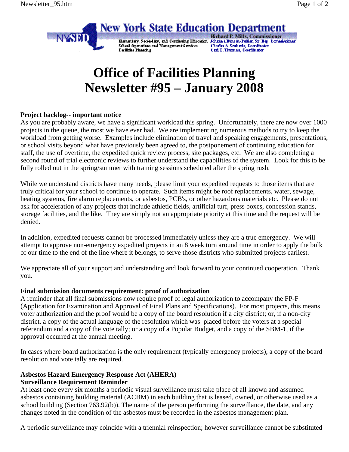

# **Office of Facilities Planning Newsletter #95 – January 2008**

## **Project backlog-- important notice**

As you are probably aware, we have a significant workload this spring. Unfortunately, there are now over 1000 projects in the queue, the most we have ever had. We are implementing numerous methods to try to keep the workload from getting worse. Examples include elimination of travel and speaking engagements, presentations, or school visits beyond what have previously been agreed to, the postponement of continuing education for staff, the use of overtime, the expedited quick review process, site packages, etc. We are also completing a second round of trial electronic reviews to further understand the capabilities of the system. Look for this to be fully rolled out in the spring/summer with training sessions scheduled after the spring rush.

While we understand districts have many needs, please limit your expedited requests to those items that are truly critical for your school to continue to operate. Such items might be roof replacements, water, sewage, heating systems, fire alarm replacements, or asbestos, PCB's, or other hazardous materials etc. Please do not ask for acceleration of any projects that include athletic fields, artificial turf, press boxes, concession stands, storage facilities, and the like. They are simply not an appropriate priority at this time and the request will be denied.

In addition, expedited requests cannot be processed immediately unless they are a true emergency. We will attempt to approve non-emergency expedited projects in an 8 week turn around time in order to apply the bulk of our time to the end of the line where it belongs, to serve those districts who submitted projects earliest.

We appreciate all of your support and understanding and look forward to your continued cooperation. Thank you.

#### **Final submission documents requirement: proof of authorization**

A reminder that all final submissions now require proof of legal authorization to accompany the FP-F (Application for Examination and Approval of Final Plans and Specifications). For most projects, this means voter authorization and the proof would be a copy of the board resolution if a city district; or, if a non-city district, a copy of the actual language of the resolution which was placed before the voters at a special referendum and a copy of the vote tally; or a copy of a Popular Budget, and a copy of the SBM-1, if the approval occurred at the annual meeting.

In cases where board authorization is the only requirement (typically emergency projects), a copy of the board resolution and vote tally are required.

## **Asbestos Hazard Emergency Response Act (AHERA) Surveillance Requirement Reminder**

At least once every six months a periodic visual surveillance must take place of all known and assumed asbestos containing building material (ACBM) in each building that is leased, owned, or otherwise used as a school building (Section 763.92(b)). The name of the person performing the surveillance, the date, and any changes noted in the condition of the asbestos must be recorded in the asbestos management plan.

A periodic surveillance may coincide with a triennial reinspection; however surveillance cannot be substituted